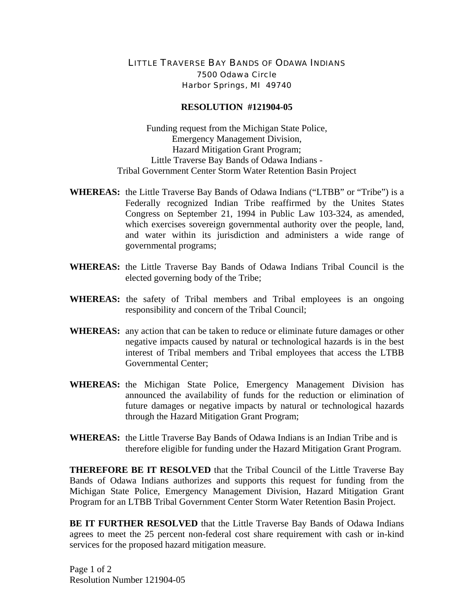## LITTLE TRAVERSE BAY BANDS OF ODAWA INDIANS 7500 Odawa Circle Harbor Springs, MI 49740

## **RESOLUTION #121904-05**

Funding request from the Michigan State Police, Emergency Management Division, Hazard Mitigation Grant Program; Little Traverse Bay Bands of Odawa Indians - Tribal Government Center Storm Water Retention Basin Project

- **WHEREAS:** the Little Traverse Bay Bands of Odawa Indians ("LTBB" or "Tribe") is a Federally recognized Indian Tribe reaffirmed by the Unites States Congress on September 21, 1994 in Public Law 103-324, as amended, which exercises sovereign governmental authority over the people, land, and water within its jurisdiction and administers a wide range of governmental programs;
- **WHEREAS:** the Little Traverse Bay Bands of Odawa Indians Tribal Council is the elected governing body of the Tribe;
- **WHEREAS:** the safety of Tribal members and Tribal employees is an ongoing responsibility and concern of the Tribal Council;
- **WHEREAS:** any action that can be taken to reduce or eliminate future damages or other negative impacts caused by natural or technological hazards is in the best interest of Tribal members and Tribal employees that access the LTBB Governmental Center;
- **WHEREAS:** the Michigan State Police, Emergency Management Division has announced the availability of funds for the reduction or elimination of future damages or negative impacts by natural or technological hazards through the Hazard Mitigation Grant Program;
- **WHEREAS:** the Little Traverse Bay Bands of Odawa Indians is an Indian Tribe and is therefore eligible for funding under the Hazard Mitigation Grant Program.

**THEREFORE BE IT RESOLVED** that the Tribal Council of the Little Traverse Bay Bands of Odawa Indians authorizes and supports this request for funding from the Michigan State Police, Emergency Management Division, Hazard Mitigation Grant Program for an LTBB Tribal Government Center Storm Water Retention Basin Project.

**BE IT FURTHER RESOLVED** that the Little Traverse Bay Bands of Odawa Indians agrees to meet the 25 percent non-federal cost share requirement with cash or in-kind services for the proposed hazard mitigation measure.

Page 1 of 2 Resolution Number 121904-05